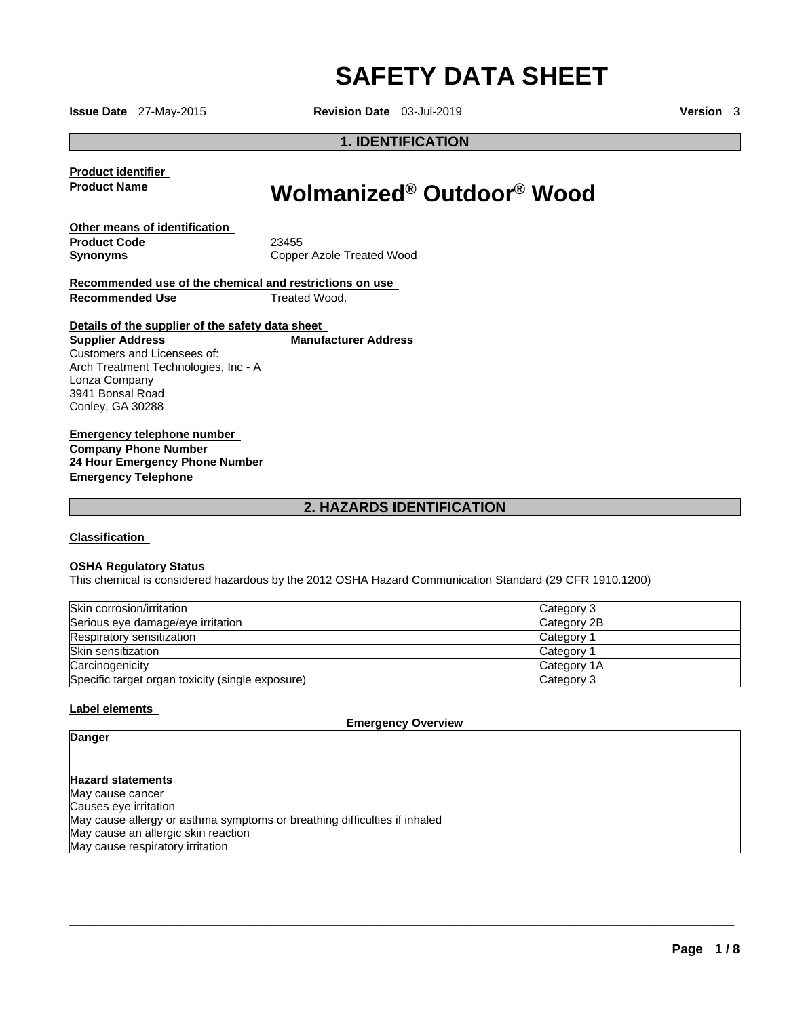# **SAFETY DATA SHEET**

**Issue Date** 27-May-2015 **Revision Date** 03-Jul-2019 **Version** 3

# **1. IDENTIFICATION**

**Product identifier Product Name** 

# **Wolmanized® Outdoor® Wood**

**Other means of identification Product Code Synonyms** 

23455 Copper Azole Treated Wood

**Recommended use of the chemical and restrictions on use Recommended Use Treated Wood.** 

#### **Details of the supplier of the safety data sheet Manufacturer Address**

**Supplier Address** Customers and Licensees of: Arch Treatment Technologies, Inc - A Lonza Company 3941 Bonsal Road Conley, GA 30288

**Emergency telephone number Company Phone Number 24 Hour Emergency Phone Number Emergency Telephone** 

# **2. HAZARDS IDENTIFICATION**

# **Classification**

#### **OSHA Regulatory Status**

This chemical is considered hazardous by the 2012 OSHA Hazard Communication Standard (29 CFR 1910.1200)

| Skin corrosion/irritation                        | Category 3  |
|--------------------------------------------------|-------------|
| Serious eye damage/eye irritation                | Category 2B |
| Respiratory sensitization                        | Category 1  |
| Skin sensitization                               | Category 1  |
| Carcinogenicity                                  | Category 1A |
| Specific target organ toxicity (single exposure) | Category 3  |

#### **Label elements**

**Emergency Overview** 

 $\overline{\phantom{a}}$  , and the set of the set of the set of the set of the set of the set of the set of the set of the set of the set of the set of the set of the set of the set of the set of the set of the set of the set of the s

# **Danger**

**Hazard statements** May cause cancer Causes eye irritation May cause allergy or asthma symptoms or breathing difficulties if inhaled May cause an allergic skin reaction May cause respiratory irritation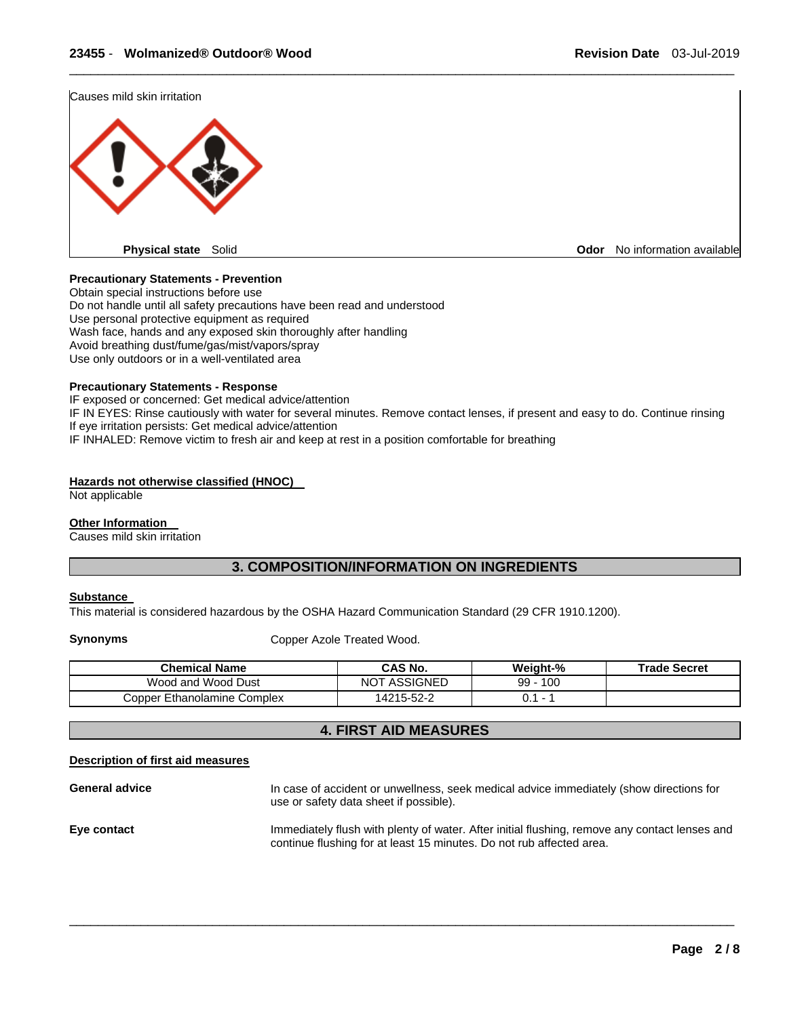Causes mild skin irritation



#### **Precautionary Statements - Prevention**

Obtain special instructions before use Do not handle until all safety precautions have been read and understood Use personal protective equipment as required Wash face, hands and any exposed skin thoroughly after handling Avoid breathing dust/fume/gas/mist/vapors/spray Use only outdoors or in a well-ventilated area

#### **Precautionary Statements - Response**

IF exposed or concerned: Get medical advice/attention IF IN EYES: Rinse cautiously with water for several minutes. Remove contact lenses, if present and easy to do. Continue rinsing If eye irritation persists: Get medical advice/attention IF INHALED: Remove victim to fresh air and keep at rest in a position comfortable for breathing

\_\_\_\_\_\_\_\_\_\_\_\_\_\_\_\_\_\_\_\_\_\_\_\_\_\_\_\_\_\_\_\_\_\_\_\_\_\_\_\_\_\_\_\_\_\_\_\_\_\_\_\_\_\_\_\_\_\_\_\_\_\_\_\_\_\_\_\_\_\_\_\_\_\_\_\_\_\_\_\_\_\_\_\_\_\_\_\_\_\_\_\_\_

#### **Hazards not otherwise classified (HNOC)**

Not applicable

#### **Other Information**

Causes mild skin irritation

# **3. COMPOSITION/INFORMATION ON INGREDIENTS**

#### **Substance**

This material is considered hazardous by the OSHA Hazard Communication Standard (29 CFR 1910.1200).

**Synonyms Copper Azole Treated Wood.** 

| <b>Chemical Name</b>        | CAS No.             | Weight-%  | <b>Trade Secret</b> |
|-----------------------------|---------------------|-----------|---------------------|
| Wood and Wood Dust          | <b>NOT ASSIGNED</b> | 100<br>99 |                     |
| Copper Ethanolamine Complex | 14215-52-2          |           |                     |

# **4. FIRST AID MEASURES**

#### **Description of first aid measures**

**General advice** In case of accident or unwellness, seek medical advice immediately (show directions for use or safety data sheet if possible).

**Eye contact Immediately flush with plenty of water.** After initial flushing, remove any contact lenses and continue flushing for at least 15 minutes. Do not rub affected area.

 $\overline{\phantom{a}}$  , and the set of the set of the set of the set of the set of the set of the set of the set of the set of the set of the set of the set of the set of the set of the set of the set of the set of the set of the s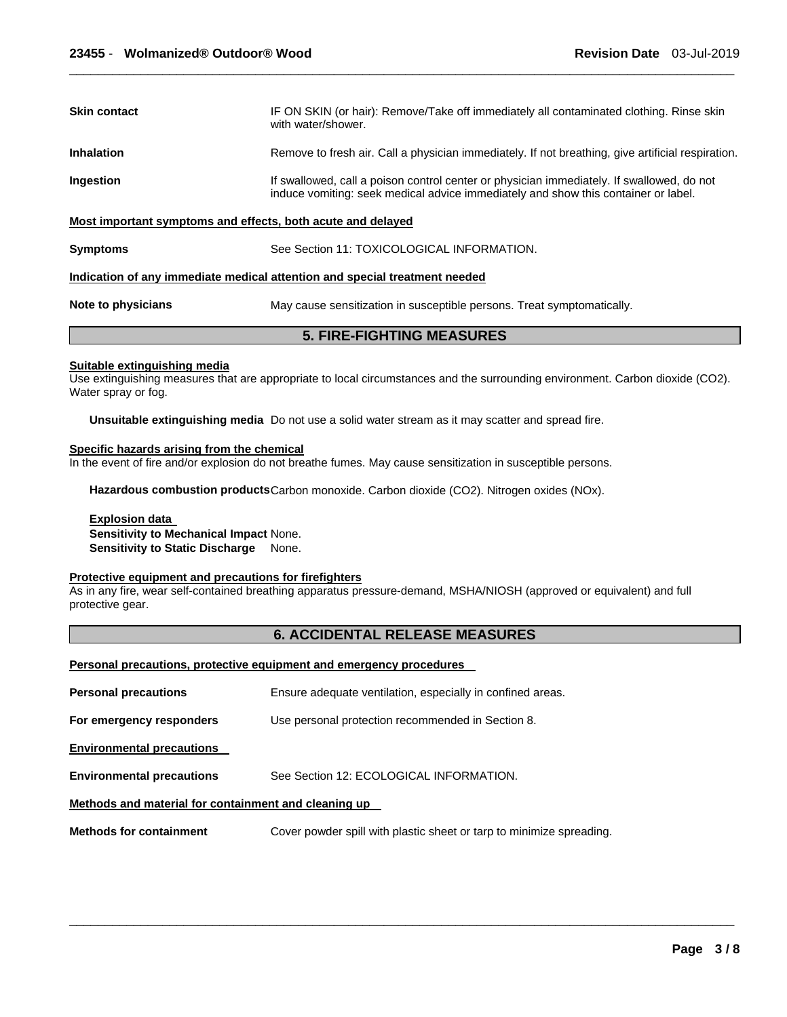| Skin contact                                                | IF ON SKIN (or hair): Remove/Take off immediately all contaminated clothing. Rinse skin<br>with water/shower.                                                                   |  |
|-------------------------------------------------------------|---------------------------------------------------------------------------------------------------------------------------------------------------------------------------------|--|
| <b>Inhalation</b>                                           | Remove to fresh air. Call a physician immediately. If not breathing, give artificial respiration.                                                                               |  |
| Ingestion                                                   | If swallowed, call a poison control center or physician immediately. If swallowed, do not<br>induce vomiting: seek medical advice immediately and show this container or label. |  |
| Most important symptoms and effects, both acute and delayed |                                                                                                                                                                                 |  |
| <b>Symptoms</b>                                             | See Section 11: TOXICOLOGICAL INFORMATION.                                                                                                                                      |  |
|                                                             | Indication of any immediate medical attention and special treatment needed                                                                                                      |  |
| Note to physicians                                          | May cause sensitization in susceptible persons. Treat symptomatically.                                                                                                          |  |

\_\_\_\_\_\_\_\_\_\_\_\_\_\_\_\_\_\_\_\_\_\_\_\_\_\_\_\_\_\_\_\_\_\_\_\_\_\_\_\_\_\_\_\_\_\_\_\_\_\_\_\_\_\_\_\_\_\_\_\_\_\_\_\_\_\_\_\_\_\_\_\_\_\_\_\_\_\_\_\_\_\_\_\_\_\_\_\_\_\_\_\_\_

**5. FIRE-FIGHTING MEASURES** 

### **Suitable extinguishing media**

Use extinguishing measures that are appropriate to local circumstances and the surrounding environment. Carbon dioxide (CO2). Water spray or fog.

**Unsuitable extinguishing media** Do not use a solid water stream as it may scatter and spread fire.

#### **Specific hazards arising from the chemical**

In the event of fire and/or explosion do not breathe fumes. May cause sensitization in susceptible persons.

Hazardous combustion products Carbon monoxide. Carbon dioxide (CO2). Nitrogen oxides (NOx).

# **Explosion data Sensitivity to Mechanical Impact** None.

**Sensitivity to Static Discharge** None.

#### **Protective equipment and precautions for firefighters**

As in any fire, wear self-contained breathing apparatus pressure-demand, MSHA/NIOSH (approved or equivalent) and full protective gear.

# **6. ACCIDENTAL RELEASE MEASURES**

 $\overline{\phantom{a}}$  , and the set of the set of the set of the set of the set of the set of the set of the set of the set of the set of the set of the set of the set of the set of the set of the set of the set of the set of the s

#### **Personal precautions, protective equipment and emergency procedures**

| <b>Personal precautions</b>                          | Ensure adequate ventilation, especially in confined areas.           |
|------------------------------------------------------|----------------------------------------------------------------------|
| For emergency responders                             | Use personal protection recommended in Section 8.                    |
| <b>Environmental precautions</b>                     |                                                                      |
| <b>Environmental precautions</b>                     | See Section 12: ECOLOGICAL INFORMATION.                              |
| Methods and material for containment and cleaning up |                                                                      |
| <b>Methods for containment</b>                       | Cover powder spill with plastic sheet or tarp to minimize spreading. |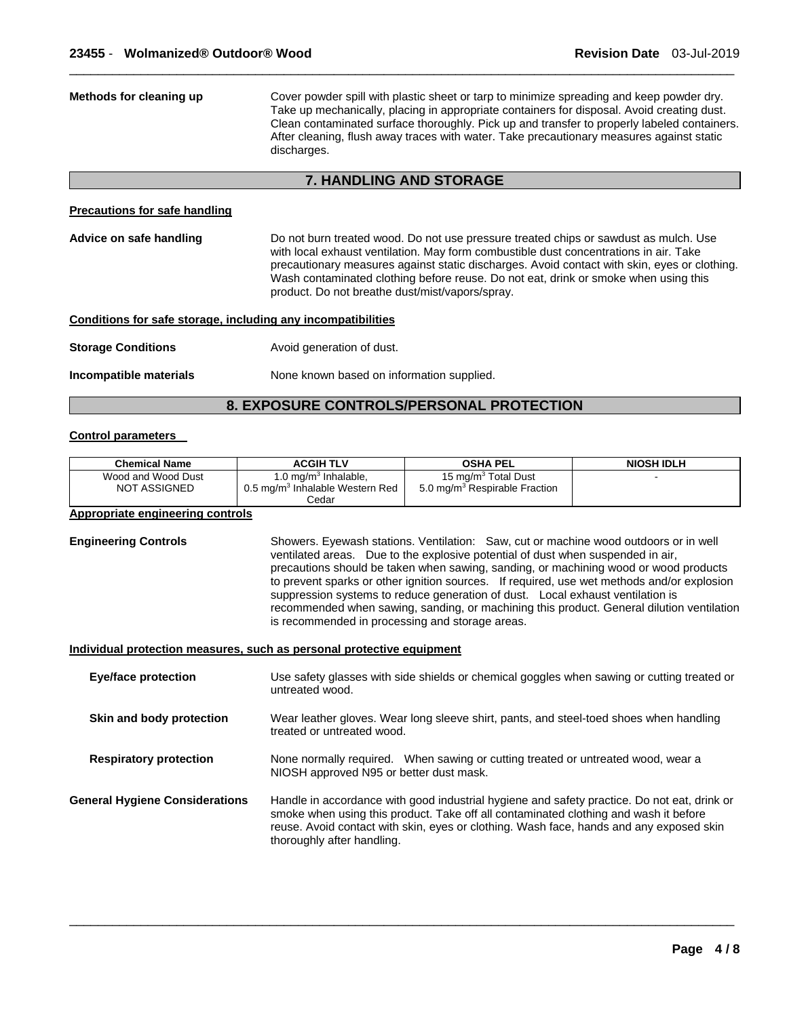| Methods for cleaning up                                      | Cover powder spill with plastic sheet or tarp to minimize spreading and keep powder dry.<br>Take up mechanically, placing in appropriate containers for disposal. Avoid creating dust.<br>Clean contaminated surface thoroughly. Pick up and transfer to properly labeled containers.<br>After cleaning, flush away traces with water. Take precautionary measures against static<br>discharges.                        |  |
|--------------------------------------------------------------|-------------------------------------------------------------------------------------------------------------------------------------------------------------------------------------------------------------------------------------------------------------------------------------------------------------------------------------------------------------------------------------------------------------------------|--|
|                                                              | <b>7. HANDLING AND STORAGE</b>                                                                                                                                                                                                                                                                                                                                                                                          |  |
| <b>Precautions for safe handling</b>                         |                                                                                                                                                                                                                                                                                                                                                                                                                         |  |
| Advice on safe handling                                      | Do not burn treated wood. Do not use pressure treated chips or sawdust as mulch. Use<br>with local exhaust ventilation. May form combustible dust concentrations in air. Take<br>precautionary measures against static discharges. Avoid contact with skin, eyes or clothing.<br>Wash contaminated clothing before reuse. Do not eat, drink or smoke when using this<br>product. Do not breathe dust/mist/vapors/spray. |  |
| Conditions for safe storage, including any incompatibilities |                                                                                                                                                                                                                                                                                                                                                                                                                         |  |
| <b>Storage Conditions</b>                                    | Avoid generation of dust.                                                                                                                                                                                                                                                                                                                                                                                               |  |
| Incompatible materials                                       | None known based on information supplied.                                                                                                                                                                                                                                                                                                                                                                               |  |

\_\_\_\_\_\_\_\_\_\_\_\_\_\_\_\_\_\_\_\_\_\_\_\_\_\_\_\_\_\_\_\_\_\_\_\_\_\_\_\_\_\_\_\_\_\_\_\_\_\_\_\_\_\_\_\_\_\_\_\_\_\_\_\_\_\_\_\_\_\_\_\_\_\_\_\_\_\_\_\_\_\_\_\_\_\_\_\_\_\_\_\_\_

# **8. EXPOSURE CONTROLS/PERSONAL PROTECTION**

#### **Control parameters**

| <b>Chemical Name</b>                                                  | <b>ACGIH TLV</b>                                                                                                                                                                                                                                                                                             | <b>OSHA PEL</b>                                                                                                                                                                                                                                                                                                                                                                                                                                 | <b>NIOSH IDLH</b>                                                                         |
|-----------------------------------------------------------------------|--------------------------------------------------------------------------------------------------------------------------------------------------------------------------------------------------------------------------------------------------------------------------------------------------------------|-------------------------------------------------------------------------------------------------------------------------------------------------------------------------------------------------------------------------------------------------------------------------------------------------------------------------------------------------------------------------------------------------------------------------------------------------|-------------------------------------------------------------------------------------------|
| Wood and Wood Dust                                                    | 1.0 mg/m $3$ Inhalable,                                                                                                                                                                                                                                                                                      | 15 mg/m <sup>3</sup> Total Dust                                                                                                                                                                                                                                                                                                                                                                                                                 |                                                                                           |
| <b>NOT ASSIGNED</b>                                                   | 0.5 mg/m <sup>3</sup> Inhalable Western Red                                                                                                                                                                                                                                                                  | 5.0 mg/m <sup>3</sup> Respirable Fraction                                                                                                                                                                                                                                                                                                                                                                                                       |                                                                                           |
|                                                                       | Cedar                                                                                                                                                                                                                                                                                                        |                                                                                                                                                                                                                                                                                                                                                                                                                                                 |                                                                                           |
| <b>Appropriate engineering controls</b>                               |                                                                                                                                                                                                                                                                                                              |                                                                                                                                                                                                                                                                                                                                                                                                                                                 |                                                                                           |
| <b>Engineering Controls</b>                                           | is recommended in processing and storage areas.                                                                                                                                                                                                                                                              | Showers. Eyewash stations. Ventilation: Saw, cut or machine wood outdoors or in well<br>ventilated areas. Due to the explosive potential of dust when suspended in air,<br>precautions should be taken when sawing, sanding, or machining wood or wood products<br>to prevent sparks or other ignition sources. If required, use wet methods and/or explosion<br>suppression systems to reduce generation of dust. Local exhaust ventilation is | recommended when sawing, sanding, or machining this product. General dilution ventilation |
| Individual protection measures, such as personal protective equipment |                                                                                                                                                                                                                                                                                                              |                                                                                                                                                                                                                                                                                                                                                                                                                                                 |                                                                                           |
| <b>Eye/face protection</b>                                            | untreated wood.                                                                                                                                                                                                                                                                                              | Use safety glasses with side shields or chemical goggles when sawing or cutting treated or                                                                                                                                                                                                                                                                                                                                                      |                                                                                           |
| Skin and body protection                                              | Wear leather gloves. Wear long sleeve shirt, pants, and steel-toed shoes when handling<br>treated or untreated wood.                                                                                                                                                                                         |                                                                                                                                                                                                                                                                                                                                                                                                                                                 |                                                                                           |
| <b>Respiratory protection</b>                                         | NIOSH approved N95 or better dust mask.                                                                                                                                                                                                                                                                      | None normally required. When sawing or cutting treated or untreated wood, wear a                                                                                                                                                                                                                                                                                                                                                                |                                                                                           |
| <b>General Hygiene Considerations</b>                                 | Handle in accordance with good industrial hygiene and safety practice. Do not eat, drink or<br>smoke when using this product. Take off all contaminated clothing and wash it before<br>reuse. Avoid contact with skin, eyes or clothing. Wash face, hands and any exposed skin<br>thoroughly after handling. |                                                                                                                                                                                                                                                                                                                                                                                                                                                 |                                                                                           |

 $\overline{\phantom{a}}$  , and the set of the set of the set of the set of the set of the set of the set of the set of the set of the set of the set of the set of the set of the set of the set of the set of the set of the set of the s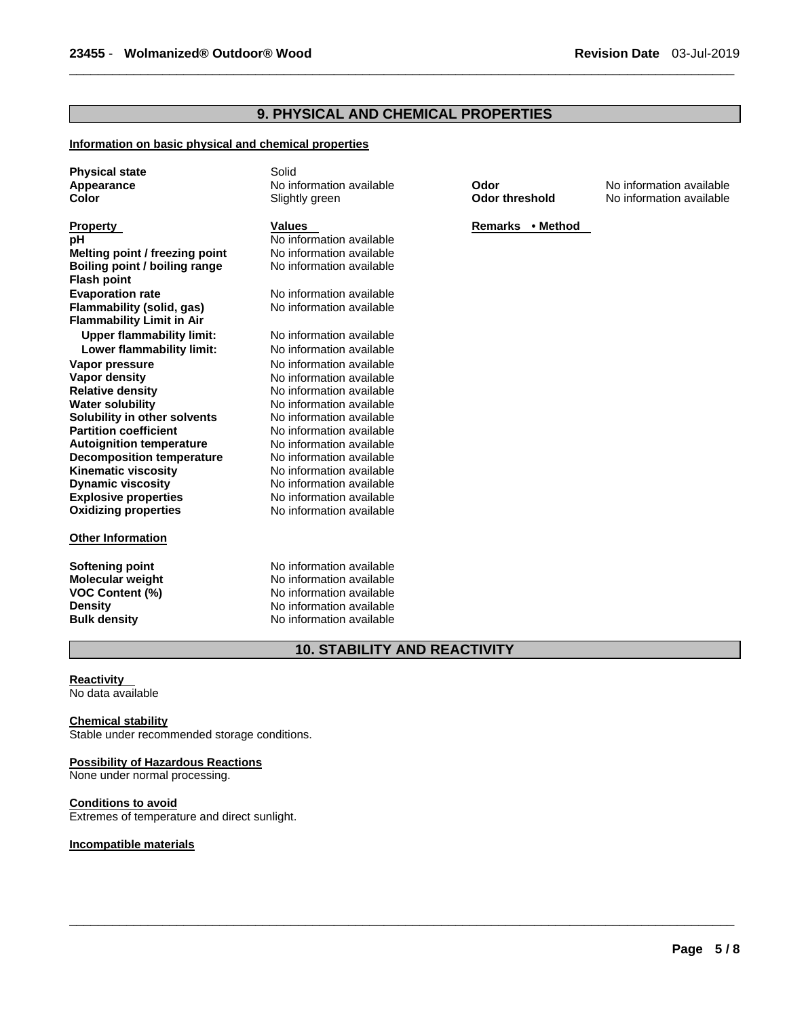# **9. PHYSICAL AND CHEMICAL PROPERTIES**

\_\_\_\_\_\_\_\_\_\_\_\_\_\_\_\_\_\_\_\_\_\_\_\_\_\_\_\_\_\_\_\_\_\_\_\_\_\_\_\_\_\_\_\_\_\_\_\_\_\_\_\_\_\_\_\_\_\_\_\_\_\_\_\_\_\_\_\_\_\_\_\_\_\_\_\_\_\_\_\_\_\_\_\_\_\_\_\_\_\_\_\_\_

#### **Information on basic physical and chemical properties**

**Physical state Solid** 

**Property**<br> **Property**<br> **PREMACK PROPERTY ASSESS FOR A PROPERTY ASSESS FOR A PROPERTY PROPERTY REMACK PROPERTY PROPERTY PROPERTY PROPERTY**<br> **PRIMACK PROPERTY PROPERTY A PRIMACK PRIMACK PRIMACK PRIMACK PROPERTY PROPERTY PRI Melting point / freezing point** <br> **Boiling point / boiling range** <br>
No information available **Boiling point / boiling range Flash point Evaporation rate Communisty Communist Communist Communist Communist Communist Communist Communist Communist Communist Communist Communist Communist Communist Communist Communist Communist Communist Communist Communist C Flammability (solid, gas) Flammability Limit in Air Upper flammability limit:** No information available **Lower flammability limit:** No information available **Vapor pressure and information available**<br> **Vapor density**<br>
No information available **Vapor density <b>Vapor** density **No information available**<br> **Relative density No information available Relative density <br>
Water solubility Molec Solution available Water solubility Molec No information available Solubility in other solvents<br>Partition coefficient Autoignition temperature No information available**<br> **Decomposition temperature No information available Decomposition temperature Kinematic viscosity No information available Dynamic viscosity**<br> **Explosive properties**<br>
No information available **Oxidizing properties** 

#### **Other Information**

No information available<br>No information available

No information available<br>No information available No information available<br>No information available No information available<br>
No information available

**Softening point 1996 Consumersion Softening point 1996 Consumersion and Mondon Available Mondon Available** Mondon<br> **No information available Molecular weight <br>VOC Content (%) <br>No information available<br>No information available No information available Density No information available Bulk density No information available** 

# **10. STABILITY AND REACTIVITY**

 $\overline{\phantom{a}}$  , and the set of the set of the set of the set of the set of the set of the set of the set of the set of the set of the set of the set of the set of the set of the set of the set of the set of the set of the s

# **Reactivity**

No data available

#### **Chemical stability**

Stable under recommended storage conditions.

#### **Possibility of Hazardous Reactions**

None under normal processing.

### **Conditions to avoid**

Extremes of temperature and direct sunlight.

#### **Incompatible materials**

**Appearance No information available <b>Color No information available Color Color No information available Color No** information available **Color Color No** information available **No information available**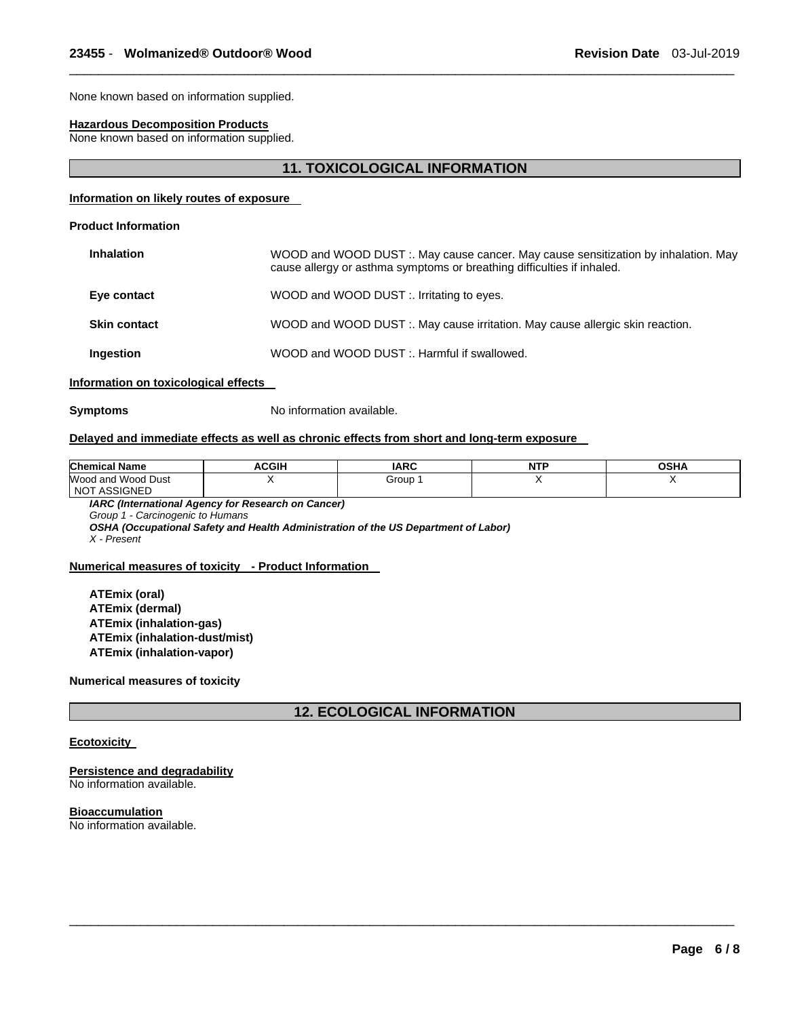None known based on information supplied.

#### **Hazardous Decomposition Products**

None known based on information supplied.

#### **11. TOXICOLOGICAL INFORMATION**

\_\_\_\_\_\_\_\_\_\_\_\_\_\_\_\_\_\_\_\_\_\_\_\_\_\_\_\_\_\_\_\_\_\_\_\_\_\_\_\_\_\_\_\_\_\_\_\_\_\_\_\_\_\_\_\_\_\_\_\_\_\_\_\_\_\_\_\_\_\_\_\_\_\_\_\_\_\_\_\_\_\_\_\_\_\_\_\_\_\_\_\_\_

# **Information on likely routes of exposure**

#### **Product Information**

| <b>Inhalation</b>   | WOOD and WOOD DUST :. May cause cancer. May cause sensitization by inhalation. May<br>cause allergy or asthma symptoms or breathing difficulties if inhaled. |
|---------------------|--------------------------------------------------------------------------------------------------------------------------------------------------------------|
| Eye contact         | WOOD and WOOD DUST :. Irritating to eyes.                                                                                                                    |
| <b>Skin contact</b> | WOOD and WOOD DUST :. May cause irritation. May cause allergic skin reaction.                                                                                |
| <b>Ingestion</b>    | WOOD and WOOD DUST :. Harmful if swallowed.                                                                                                                  |
|                     |                                                                                                                                                              |

#### **Information on toxicological effects**

**Symptoms** No information available.

#### **Delayed and immediate effects as well as chronic effects from short and long-term exposure**

| <b>Chemical Name</b>                           | <b>ACGIH</b> | <b>IARC</b> | <b>NTP</b> | OSHA |
|------------------------------------------------|--------------|-------------|------------|------|
| Wood and Wood Dust<br><b>ASSIGNED</b><br>$NO+$ |              | Group       |            |      |

*IARC (International Agency for Research on Cancer) Group 1 - Carcinogenic to Humans OSHA (Occupational Safety and Health Administration of the US Department of Labor) X - Present* 

**Numerical measures of toxicity - Product Information** 

**ATEmix (oral) ATEmix (dermal) ATEmix (inhalation-gas) ATEmix (inhalation-dust/mist) ATEmix (inhalation-vapor)** 

#### **Numerical measures of toxicity**

### **12. ECOLOGICAL INFORMATION**

 $\overline{\phantom{a}}$  , and the set of the set of the set of the set of the set of the set of the set of the set of the set of the set of the set of the set of the set of the set of the set of the set of the set of the set of the s

#### **Ecotoxicity**

**Persistence and degradability** No information available.

**Bioaccumulation** No information available.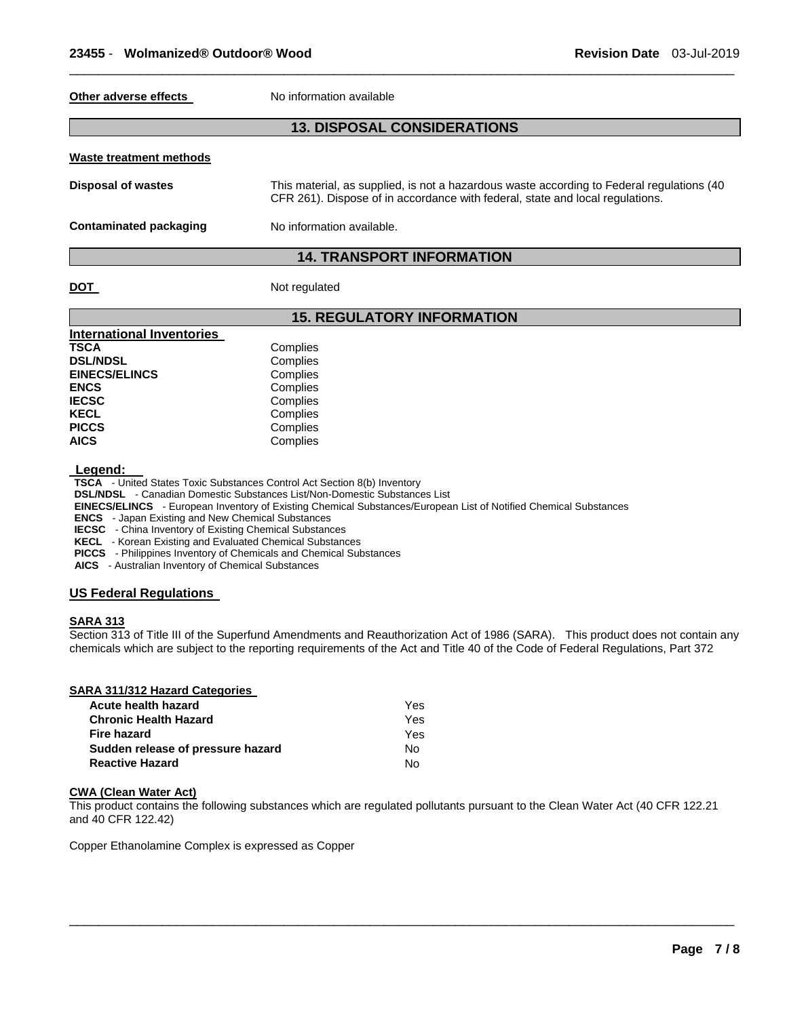#### **Other adverse effects** No information available

# **13. DISPOSAL CONSIDERATIONS**

\_\_\_\_\_\_\_\_\_\_\_\_\_\_\_\_\_\_\_\_\_\_\_\_\_\_\_\_\_\_\_\_\_\_\_\_\_\_\_\_\_\_\_\_\_\_\_\_\_\_\_\_\_\_\_\_\_\_\_\_\_\_\_\_\_\_\_\_\_\_\_\_\_\_\_\_\_\_\_\_\_\_\_\_\_\_\_\_\_\_\_\_\_

#### **Waste treatment methods**

| Disposal of wastes | This material, as supplied, is not a hazardous waste according to Federal regulations (40 |
|--------------------|-------------------------------------------------------------------------------------------|
|                    | CFR 261). Dispose of in accordance with federal, state and local regulations.             |

**Contaminated packaging Mo information available.** 

# **14. TRANSPORT INFORMATION**

# **DOT** Not regulated

|                                  | <b>15. REGULATORY INFORMATION</b> |
|----------------------------------|-----------------------------------|
| <b>International Inventories</b> |                                   |
| <b>TSCA</b>                      | Complies                          |
| <b>DSL/NDSL</b>                  | Complies                          |
| <b>EINECS/ELINCS</b>             | Complies                          |
| <b>ENCS</b>                      | Complies                          |
| <b>IECSC</b>                     | Complies                          |
| <b>KECL</b>                      | Complies                          |
| <b>PICCS</b>                     | Complies                          |
| <b>AICS</b>                      | Complies                          |

**Legend: TSCA** - United States Toxic Substances Control Act Section 8(b) Inventory

**DSL/NDSL** - Canadian Domestic Substances List/Non-Domestic Substances List

**EINECS/ELINCS** - European Inventory of Existing Chemical Substances/European List of Notified Chemical Substances

**ENCS** - Japan Existing and New Chemical Substances

**IECSC** - China Inventory of Existing Chemical Substances

**KECL** - Korean Existing and Evaluated Chemical Substances

**PICCS** - Philippines Inventory of Chemicals and Chemical Substances

**AICS** - Australian Inventory of Chemical Substances

# **US Federal Regulations**

#### **SARA 313**

Section 313 of Title III of the Superfund Amendments and Reauthorization Act of 1986 (SARA). This product does not contain any chemicals which are subject to the reporting requirements of the Act and Title 40 of the Code of Federal Regulations, Part 372

| SARA 311/312 Hazard Categories    |     |
|-----------------------------------|-----|
| Acute health hazard               | Yes |
| <b>Chronic Health Hazard</b>      | Yes |
| Fire hazard                       | Yes |
| Sudden release of pressure hazard | No  |
| <b>Reactive Hazard</b>            | N٥  |

#### **CWA (Clean Water Act)**

This product contains the following substances which are regulated pollutants pursuant to the Clean Water Act (40 CFR 122.21 and 40 CFR 122.42)

 $\overline{\phantom{a}}$  , and the set of the set of the set of the set of the set of the set of the set of the set of the set of the set of the set of the set of the set of the set of the set of the set of the set of the set of the s

Copper Ethanolamine Complex is expressed as Copper